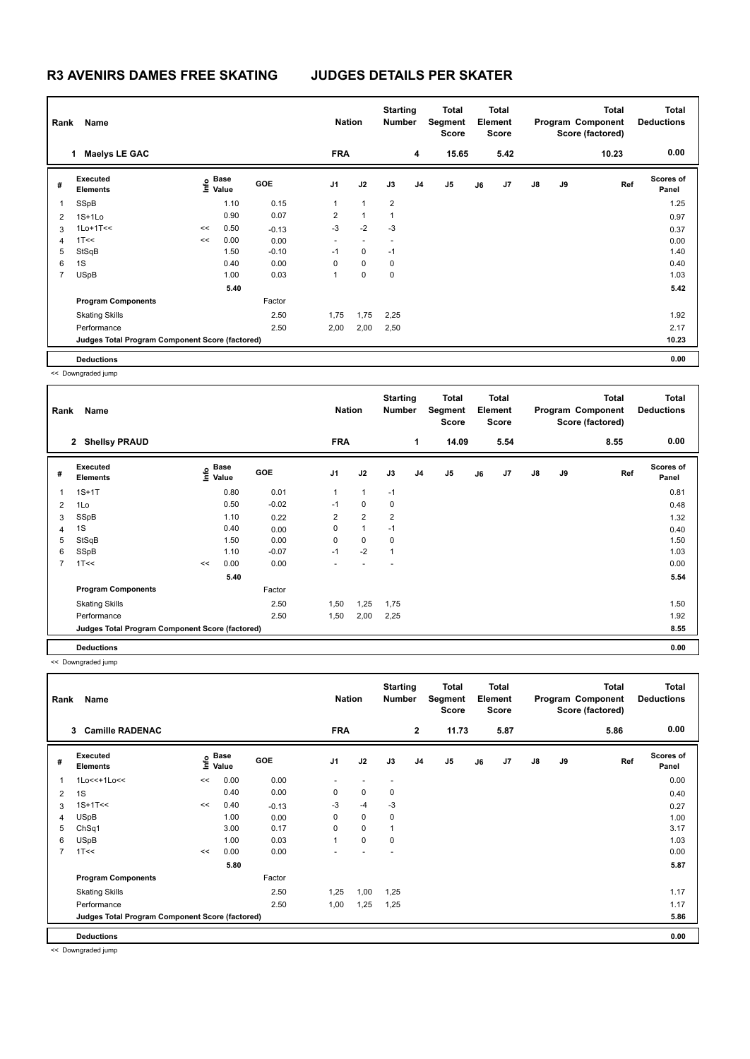| Name<br>Rank   |                                                 |    |                           |            |                | <b>Nation</b>            |                | <b>Starting</b><br><b>Number</b> | Total<br>Segment<br>Score | <b>Total</b><br>Element<br><b>Score</b> |      |               |    | Total<br>Program Component<br>Score (factored) | <b>Total</b><br><b>Deductions</b> |
|----------------|-------------------------------------------------|----|---------------------------|------------|----------------|--------------------------|----------------|----------------------------------|---------------------------|-----------------------------------------|------|---------------|----|------------------------------------------------|-----------------------------------|
|                | <b>Maelys LE GAC</b><br>$\mathbf{1}$            |    |                           |            | <b>FRA</b>     |                          |                | 4                                | 15.65                     |                                         | 5.42 |               |    | 10.23                                          | 0.00                              |
| #              | Executed<br><b>Elements</b>                     |    | Base<br>e Base<br>⊆ Value | <b>GOE</b> | J <sub>1</sub> | J2                       | J3             | J <sub>4</sub>                   | J <sub>5</sub>            | J6                                      | J7   | $\mathsf{J}8$ | J9 | Ref                                            | <b>Scores of</b><br>Panel         |
|                | SSpB                                            |    | 1.10                      | 0.15       | 1              | $\overline{1}$           | $\overline{2}$ |                                  |                           |                                         |      |               |    |                                                | 1.25                              |
| 2              | $1S+1Lo$                                        |    | 0.90                      | 0.07       | $\overline{2}$ | $\overline{1}$           | 1              |                                  |                           |                                         |      |               |    |                                                | 0.97                              |
| 3              | $1$ Lo $+1$ T<<                                 | << | 0.50                      | $-0.13$    | $-3$           | $-2$                     | $-3$           |                                  |                           |                                         |      |               |    |                                                | 0.37                              |
| $\overline{4}$ | 1T<<                                            | << | 0.00                      | 0.00       | ٠              | $\overline{\phantom{a}}$ |                |                                  |                           |                                         |      |               |    |                                                | 0.00                              |
| 5              | StSqB                                           |    | 1.50                      | $-0.10$    | $-1$           | 0                        | $-1$           |                                  |                           |                                         |      |               |    |                                                | 1.40                              |
| 6              | 1S                                              |    | 0.40                      | 0.00       | 0              | $\mathbf 0$              | 0              |                                  |                           |                                         |      |               |    |                                                | 0.40                              |
| $\overline{7}$ | <b>USpB</b>                                     |    | 1.00                      | 0.03       | 1              | $\mathbf 0$              | 0              |                                  |                           |                                         |      |               |    |                                                | 1.03                              |
|                |                                                 |    | 5.40                      |            |                |                          |                |                                  |                           |                                         |      |               |    |                                                | 5.42                              |
|                | <b>Program Components</b>                       |    |                           | Factor     |                |                          |                |                                  |                           |                                         |      |               |    |                                                |                                   |
|                | <b>Skating Skills</b>                           |    |                           | 2.50       | 1,75           | 1,75                     | 2,25           |                                  |                           |                                         |      |               |    |                                                | 1.92                              |
|                | Performance                                     |    |                           | 2.50       | 2,00           | 2,00                     | 2,50           |                                  |                           |                                         |      |               |    |                                                | 2.17                              |
|                | Judges Total Program Component Score (factored) |    |                           |            |                |                          |                |                                  |                           |                                         |      |               |    |                                                | 10.23                             |
|                | <b>Deductions</b>                               |    |                           |            |                |                          |                |                                  |                           |                                         |      |               |    |                                                | 0.00                              |

<< Downgraded jump

|                | Name<br>Rank                                    |    |                   |            |                |                | <b>Starting</b><br><b>Number</b> |                | Total<br>Segment<br><b>Score</b> | Total<br>Element<br><b>Score</b> |      | Program Component |    | <b>Total</b><br>Score (factored) | <b>Total</b><br><b>Deductions</b> |
|----------------|-------------------------------------------------|----|-------------------|------------|----------------|----------------|----------------------------------|----------------|----------------------------------|----------------------------------|------|-------------------|----|----------------------------------|-----------------------------------|
|                | <b>Shellsy PRAUD</b><br>$\mathbf{2}$            |    |                   |            | <b>FRA</b>     |                |                                  | 1              | 14.09                            |                                  | 5.54 |                   |    | 8.55                             | 0.00                              |
| #              | Executed<br><b>Elements</b>                     |    | e Base<br>⊆ Value | <b>GOE</b> | J <sub>1</sub> | J2             | J3                               | J <sub>4</sub> | J <sub>5</sub>                   | J6                               | J7   | $\mathsf{J}8$     | J9 | Ref                              | Scores of<br>Panel                |
| 1              | $1S+1T$                                         |    | 0.80              | 0.01       | 1              | $\mathbf{1}$   | $-1$                             |                |                                  |                                  |      |                   |    |                                  | 0.81                              |
| 2              | 1Lo                                             |    | 0.50              | $-0.02$    | $-1$           | 0              | 0                                |                |                                  |                                  |      |                   |    |                                  | 0.48                              |
| 3              | SSpB                                            |    | 1.10              | 0.22       | $\overline{2}$ | $\overline{2}$ | $\overline{2}$                   |                |                                  |                                  |      |                   |    |                                  | 1.32                              |
| 4              | 1S                                              |    | 0.40              | 0.00       | 0              | $\mathbf{1}$   | $-1$                             |                |                                  |                                  |      |                   |    |                                  | 0.40                              |
| 5              | StSqB                                           |    | 1.50              | 0.00       | 0              | 0              | 0                                |                |                                  |                                  |      |                   |    |                                  | 1.50                              |
| 6              | SSpB                                            |    | 1.10              | $-0.07$    | $-1$           | $-2$           | $\mathbf{1}$                     |                |                                  |                                  |      |                   |    |                                  | 1.03                              |
| $\overline{7}$ | 1T<<                                            | << | 0.00              | 0.00       |                |                |                                  |                |                                  |                                  |      |                   |    |                                  | 0.00                              |
|                |                                                 |    | 5.40              |            |                |                |                                  |                |                                  |                                  |      |                   |    |                                  | 5.54                              |
|                | <b>Program Components</b>                       |    |                   | Factor     |                |                |                                  |                |                                  |                                  |      |                   |    |                                  |                                   |
|                | <b>Skating Skills</b>                           |    |                   | 2.50       | 1,50           | 1,25           | 1,75                             |                |                                  |                                  |      |                   |    |                                  | 1.50                              |
|                | Performance                                     |    |                   | 2.50       | 1,50           | 2,00           | 2,25                             |                |                                  |                                  |      |                   |    |                                  | 1.92                              |
|                | Judges Total Program Component Score (factored) |    |                   |            |                |                |                                  |                |                                  |                                  |      |                   |    |                                  | 8.55                              |
|                | <b>Deductions</b>                               |    |                   |            |                |                |                                  |                |                                  |                                  |      |                   |    |                                  | 0.00                              |

<< Downgraded jump

|                | Name<br>Rank                                    |    |                   |            | <b>Nation</b>            | <b>Starting</b><br><b>Number</b> |                          | <b>Total</b><br>Segment<br><b>Score</b> | <b>Total</b><br>Element<br><b>Score</b> |    |      |               | <b>Total</b><br>Program Component<br>Score (factored) | <b>Total</b><br><b>Deductions</b> |                           |
|----------------|-------------------------------------------------|----|-------------------|------------|--------------------------|----------------------------------|--------------------------|-----------------------------------------|-----------------------------------------|----|------|---------------|-------------------------------------------------------|-----------------------------------|---------------------------|
|                | <b>Camille RADENAC</b><br>3                     |    |                   |            | <b>FRA</b>               |                                  |                          | $\mathbf{2}$                            | 11.73                                   |    | 5.87 |               |                                                       | 5.86                              | 0.00                      |
| #              | Executed<br><b>Elements</b>                     |    | e Base<br>⊑ Value | <b>GOE</b> | J <sub>1</sub>           | J2                               | J3                       | J <sub>4</sub>                          | J5                                      | J6 | J7   | $\mathsf{J}8$ | J9                                                    | Ref                               | <b>Scores of</b><br>Panel |
|                | $1Lo<<+1Lo<<$                                   | << | 0.00              | 0.00       | $\overline{\phantom{a}}$ | $\overline{\phantom{a}}$         | $\overline{\phantom{a}}$ |                                         |                                         |    |      |               |                                                       |                                   | 0.00                      |
| $\overline{2}$ | 1S                                              |    | 0.40              | 0.00       | 0                        | 0                                | 0                        |                                         |                                         |    |      |               |                                                       |                                   | 0.40                      |
| 3              | $1S+1T<<$                                       | << | 0.40              | $-0.13$    | -3                       | $-4$                             | $-3$                     |                                         |                                         |    |      |               |                                                       |                                   | 0.27                      |
| 4              | <b>USpB</b>                                     |    | 1.00              | 0.00       | 0                        | $\mathbf 0$                      | 0                        |                                         |                                         |    |      |               |                                                       |                                   | 1.00                      |
| 5              | ChSq1                                           |    | 3.00              | 0.17       | 0                        | $\mathbf 0$                      |                          |                                         |                                         |    |      |               |                                                       |                                   | 3.17                      |
| 6              | <b>USpB</b>                                     |    | 1.00              | 0.03       |                          | $\pmb{0}$                        | 0                        |                                         |                                         |    |      |               |                                                       |                                   | 1.03                      |
| $\overline{7}$ | 1T<<                                            | << | 0.00              | 0.00       |                          |                                  |                          |                                         |                                         |    |      |               |                                                       |                                   | 0.00                      |
|                |                                                 |    | 5.80              |            |                          |                                  |                          |                                         |                                         |    |      |               |                                                       |                                   | 5.87                      |
|                | <b>Program Components</b>                       |    |                   | Factor     |                          |                                  |                          |                                         |                                         |    |      |               |                                                       |                                   |                           |
|                | <b>Skating Skills</b>                           |    |                   | 2.50       | 1,25                     | 1,00                             | 1,25                     |                                         |                                         |    |      |               |                                                       |                                   | 1.17                      |
|                | Performance                                     |    |                   | 2.50       | 1,00                     | 1,25                             | 1,25                     |                                         |                                         |    |      |               |                                                       |                                   | 1.17                      |
|                | Judges Total Program Component Score (factored) |    |                   |            |                          |                                  |                          |                                         |                                         |    |      |               |                                                       |                                   | 5.86                      |
|                | <b>Deductions</b>                               |    |                   |            |                          |                                  |                          |                                         |                                         |    |      |               |                                                       |                                   | 0.00                      |

<< Downgraded jump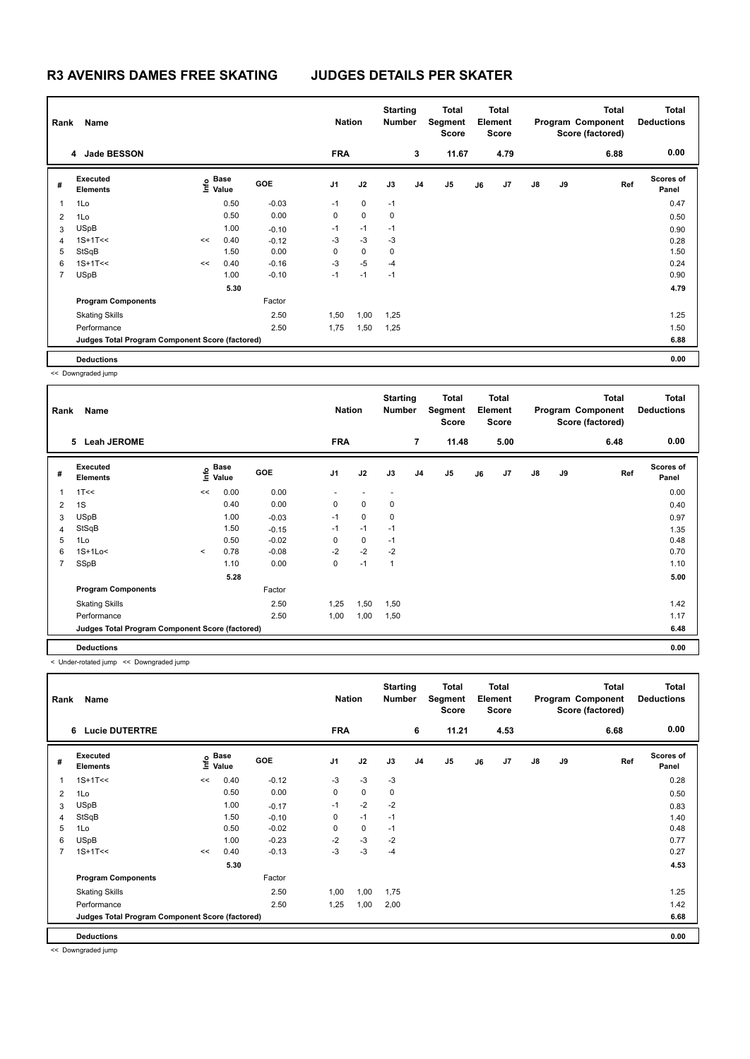| Rank           | Name                                            |    | <b>Nation</b>                    |            | <b>Starting</b><br><b>Number</b> |             | Total<br>Segment<br><b>Score</b> | <b>Total</b><br>Element<br><b>Score</b> |                |    |      | <b>Total</b><br>Program Component<br>Score (factored) | <b>Total</b><br><b>Deductions</b> |      |                    |
|----------------|-------------------------------------------------|----|----------------------------------|------------|----------------------------------|-------------|----------------------------------|-----------------------------------------|----------------|----|------|-------------------------------------------------------|-----------------------------------|------|--------------------|
|                | 4 Jade BESSON                                   |    |                                  |            | <b>FRA</b>                       |             |                                  | 3                                       | 11.67          |    | 4.79 |                                                       |                                   | 6.88 | 0.00               |
| #              | Executed<br><b>Elements</b>                     |    | <b>Base</b><br>e Base<br>⊆ Value | <b>GOE</b> | J <sub>1</sub>                   | J2          | J3                               | J <sub>4</sub>                          | J <sub>5</sub> | J6 | J7   | $\mathsf{J}8$                                         | J9                                | Ref  | Scores of<br>Panel |
|                | 1Lo                                             |    | 0.50                             | $-0.03$    | $-1$                             | $\mathbf 0$ | $-1$                             |                                         |                |    |      |                                                       |                                   |      | 0.47               |
| $\overline{2}$ | 1Lo                                             |    | 0.50                             | 0.00       | 0                                | $\mathbf 0$ | 0                                |                                         |                |    |      |                                                       |                                   |      | 0.50               |
| 3              | <b>USpB</b>                                     |    | 1.00                             | $-0.10$    | $-1$                             | $-1$        | $-1$                             |                                         |                |    |      |                                                       |                                   |      | 0.90               |
| $\overline{4}$ | $1S+1T<<$                                       | << | 0.40                             | $-0.12$    | -3                               | $-3$        | $-3$                             |                                         |                |    |      |                                                       |                                   |      | 0.28               |
| 5              | StSqB                                           |    | 1.50                             | 0.00       | 0                                | $\mathbf 0$ | 0                                |                                         |                |    |      |                                                       |                                   |      | 1.50               |
| 6              | $1S+1T<<$                                       | << | 0.40                             | $-0.16$    | $-3$                             | $-5$        | $-4$                             |                                         |                |    |      |                                                       |                                   |      | 0.24               |
| $\overline{7}$ | <b>USpB</b>                                     |    | 1.00                             | $-0.10$    | $-1$                             | $-1$        | $-1$                             |                                         |                |    |      |                                                       |                                   |      | 0.90               |
|                |                                                 |    | 5.30                             |            |                                  |             |                                  |                                         |                |    |      |                                                       |                                   |      | 4.79               |
|                | <b>Program Components</b>                       |    |                                  | Factor     |                                  |             |                                  |                                         |                |    |      |                                                       |                                   |      |                    |
|                | <b>Skating Skills</b>                           |    |                                  | 2.50       | 1,50                             | 1,00        | 1,25                             |                                         |                |    |      |                                                       |                                   |      | 1.25               |
|                | Performance                                     |    |                                  | 2.50       | 1,75                             | 1,50        | 1,25                             |                                         |                |    |      |                                                       |                                   |      | 1.50               |
|                | Judges Total Program Component Score (factored) |    |                                  |            |                                  |             |                                  |                                         |                |    |      |                                                       |                                   |      | 6.88               |
|                | <b>Deductions</b>                               |    |                                  |            |                                  |             |                                  |                                         |                |    |      |                                                       |                                   |      | 0.00               |

<< Downgraded jump

| Rank           | Name                                            |         | <b>Nation</b>             |            | <b>Starting</b><br><b>Number</b> |             | Total<br>Segment<br><b>Score</b> | Total<br>Element<br><b>Score</b> |       |    |      | <b>Total</b><br>Program Component<br>Score (factored) | <b>Total</b><br><b>Deductions</b> |      |                           |
|----------------|-------------------------------------------------|---------|---------------------------|------------|----------------------------------|-------------|----------------------------------|----------------------------------|-------|----|------|-------------------------------------------------------|-----------------------------------|------|---------------------------|
|                | 5 Leah JEROME                                   |         |                           |            | <b>FRA</b>                       |             |                                  | $\overline{7}$                   | 11.48 |    | 5.00 |                                                       |                                   | 6.48 | 0.00                      |
| #              | Executed<br><b>Elements</b>                     |         | Base<br>e Base<br>⊆ Value | <b>GOE</b> | J1                               | J2          | J3                               | J <sub>4</sub>                   | J5    | J6 | J7   | $\mathsf{J}8$                                         | J9                                | Ref  | <b>Scores of</b><br>Panel |
| $\mathbf{1}$   | 1T<<                                            | <<      | 0.00                      | 0.00       |                                  |             |                                  |                                  |       |    |      |                                                       |                                   |      | 0.00                      |
| $\overline{2}$ | 1S                                              |         | 0.40                      | 0.00       | 0                                | $\mathbf 0$ | 0                                |                                  |       |    |      |                                                       |                                   |      | 0.40                      |
| 3              | <b>USpB</b>                                     |         | 1.00                      | $-0.03$    | $-1$                             | $\mathbf 0$ | 0                                |                                  |       |    |      |                                                       |                                   |      | 0.97                      |
| $\overline{4}$ | StSqB                                           |         | 1.50                      | $-0.15$    | $-1$                             | $-1$        | $-1$                             |                                  |       |    |      |                                                       |                                   |      | 1.35                      |
| 5              | 1Lo                                             |         | 0.50                      | $-0.02$    | 0                                | 0           | $-1$                             |                                  |       |    |      |                                                       |                                   |      | 0.48                      |
| 6              | $1S+1Lo<$                                       | $\prec$ | 0.78                      | $-0.08$    | $-2$                             | $-2$        | $-2$                             |                                  |       |    |      |                                                       |                                   |      | 0.70                      |
| $\overline{7}$ | SSpB                                            |         | 1.10                      | 0.00       | 0                                | $-1$        | $\mathbf{1}$                     |                                  |       |    |      |                                                       |                                   |      | 1.10                      |
|                |                                                 |         | 5.28                      |            |                                  |             |                                  |                                  |       |    |      |                                                       |                                   |      | 5.00                      |
|                | <b>Program Components</b>                       |         |                           | Factor     |                                  |             |                                  |                                  |       |    |      |                                                       |                                   |      |                           |
|                | <b>Skating Skills</b>                           |         |                           | 2.50       | 1,25                             | 1,50        | 1,50                             |                                  |       |    |      |                                                       |                                   |      | 1.42                      |
|                | Performance                                     |         |                           | 2.50       | 1,00                             | 1,00        | 1,50                             |                                  |       |    |      |                                                       |                                   |      | 1.17                      |
|                | Judges Total Program Component Score (factored) |         |                           |            |                                  |             |                                  |                                  |       |    |      |                                                       |                                   |      | 6.48                      |
|                | <b>Deductions</b>                               |         |                           |            |                                  |             |                                  |                                  |       |    |      |                                                       |                                   |      | 0.00                      |

< Under-rotated jump << Downgraded jump

| Name<br>Rank   |                                                 |    |                           |         |                | <b>Nation</b> |      | <b>Starting</b><br><b>Number</b> | Total<br>Segment<br><b>Score</b> | <b>Total</b><br>Element<br><b>Score</b> |      |               |    | <b>Total</b><br>Program Component<br>Score (factored) | <b>Total</b><br><b>Deductions</b> |
|----------------|-------------------------------------------------|----|---------------------------|---------|----------------|---------------|------|----------------------------------|----------------------------------|-----------------------------------------|------|---------------|----|-------------------------------------------------------|-----------------------------------|
|                | <b>Lucie DUTERTRE</b><br>6                      |    |                           |         | <b>FRA</b>     |               |      | 6                                | 11.21                            |                                         | 4.53 |               |    | 6.68                                                  | 0.00                              |
| #              | <b>Executed</b><br><b>Elements</b>              |    | Base<br>o Base<br>⊆ Value | GOE     | J <sub>1</sub> | J2            | J3   | J4                               | J <sub>5</sub>                   | J6                                      | J7   | $\mathsf{J}8$ | J9 | Ref                                                   | <b>Scores of</b><br>Panel         |
| $\overline{1}$ | $1S+1T<<$                                       | << | 0.40                      | $-0.12$ | $-3$           | $-3$          | $-3$ |                                  |                                  |                                         |      |               |    |                                                       | 0.28                              |
| $\overline{2}$ | 1Lo                                             |    | 0.50                      | 0.00    | 0              | $\mathbf 0$   | 0    |                                  |                                  |                                         |      |               |    |                                                       | 0.50                              |
| 3              | <b>USpB</b>                                     |    | 1.00                      | $-0.17$ | $-1$           | $-2$          | $-2$ |                                  |                                  |                                         |      |               |    |                                                       | 0.83                              |
| 4              | StSqB                                           |    | 1.50                      | $-0.10$ | 0              | $-1$          | $-1$ |                                  |                                  |                                         |      |               |    |                                                       | 1.40                              |
| 5              | 1Lo                                             |    | 0.50                      | $-0.02$ | 0              | $\mathbf 0$   | $-1$ |                                  |                                  |                                         |      |               |    |                                                       | 0.48                              |
| 6              | <b>USpB</b>                                     |    | 1.00                      | $-0.23$ | $-2$           | $-3$          | $-2$ |                                  |                                  |                                         |      |               |    |                                                       | 0.77                              |
| $\overline{7}$ | $1S+1T<<$                                       | << | 0.40                      | $-0.13$ | $-3$           | $-3$          | $-4$ |                                  |                                  |                                         |      |               |    |                                                       | 0.27                              |
|                |                                                 |    | 5.30                      |         |                |               |      |                                  |                                  |                                         |      |               |    |                                                       | 4.53                              |
|                | <b>Program Components</b>                       |    |                           | Factor  |                |               |      |                                  |                                  |                                         |      |               |    |                                                       |                                   |
|                | <b>Skating Skills</b>                           |    |                           | 2.50    | 1,00           | 1,00          | 1,75 |                                  |                                  |                                         |      |               |    |                                                       | 1.25                              |
|                | Performance                                     |    |                           | 2.50    | 1,25           | 1,00          | 2,00 |                                  |                                  |                                         |      |               |    |                                                       | 1.42                              |
|                | Judges Total Program Component Score (factored) |    |                           |         |                |               |      |                                  |                                  |                                         |      |               |    |                                                       | 6.68                              |
|                | <b>Deductions</b>                               |    |                           |         |                |               |      |                                  |                                  |                                         |      |               |    |                                                       | 0.00                              |

<< Downgraded jump